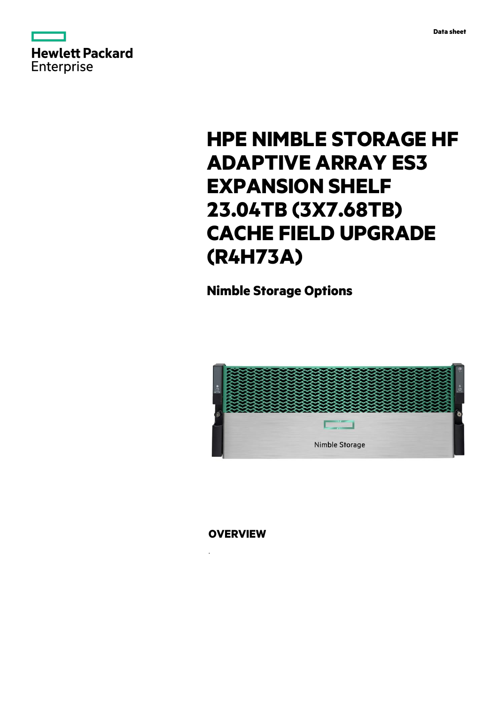



# **HPE NIMBLE STORAGE HF ADAPTIVE ARRAY ES3 EXPANSION SHELF 23.04TB (3X7.68TB) CACHE FIELD UPGRADE (R4H73A)**

**Nimble Storage Options**



**OVERVIEW**

.